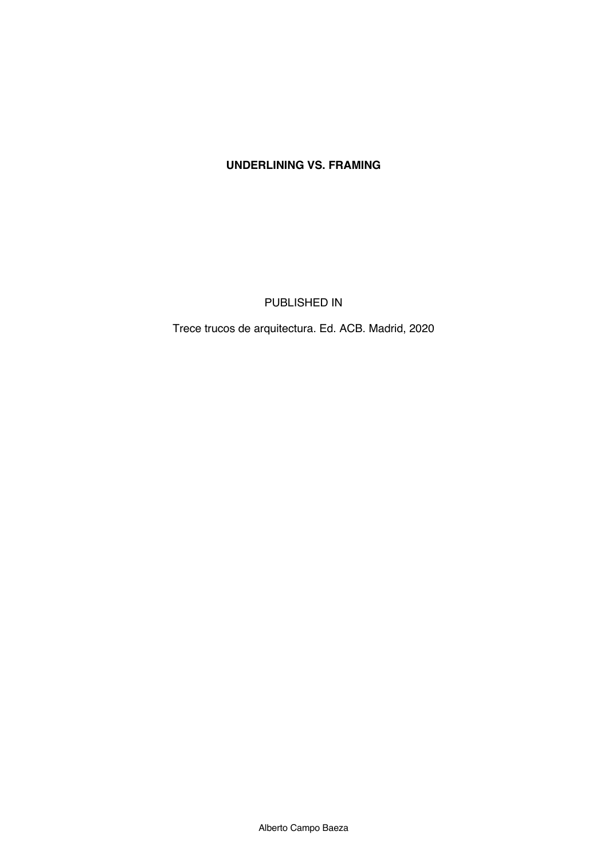## **UNDERLINING VS. FRAMING**

PUBLISHED IN

Trece trucos de arquitectura. Ed. ACB. Madrid, 2020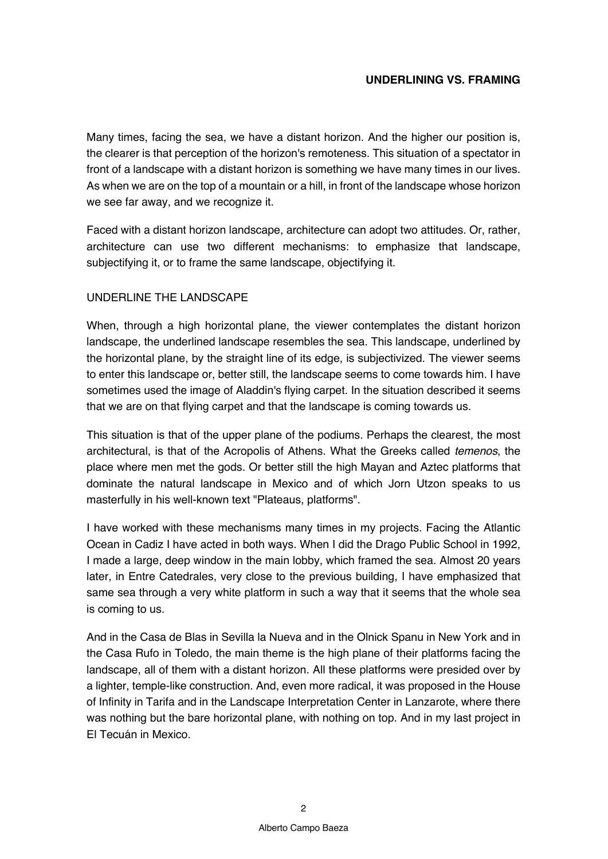## **UNDERLINING VS. FRAMING**

Many times, facing the sea, we have a distant horizon. And the higher our position is, the clearer is that perception of the horizon's remoteness. This situation of a spectator in front of a landscape with a distant horizon is something we have many times in our lives. As when we are on the top of a mountain or a hill, in front of the landscape whose horizon we see far away, and we recognize it.

Faced with a distant horizon landscape, architecture can adopt two attitudes. Or, rather, architecture can use two different mechanisms: to emphasize that landscape, subjectifying it, or to frame the same landscape, objectifying it.

## UNDERLINE THE LANDSCAPE

When, through a high horizontal plane, the viewer contemplates the distant horizon landscape, the underlined landscape resembles the sea. This landscape, underlined by the horizontal plane, by the straight line of its edge, is subjectivized. The viewer seems to enter this landscape or, better still, the landscape seems to come towards him. I have sometimes used the image of Aladdin's flying carpet. In the situation described it seems that we are on that flying carpet and that the landscape is coming towards us.

This situation is that of the upper plane of the podiums. Perhaps the clearest, the most architectural, is that of the Acropolis of Athens. What the Greeks called *temenos*, the place where men met the gods. Or better still the high Mayan and Aztec platforms that dominate the natural landscape in Mexico and of which Jorn Utzon speaks to us masterfully in his well-known text "Plateaus, platforms".

I have worked with these mechanisms many times in my projects. Facing the Atlantic Ocean in Cadiz I have acted in both ways. When I did the Drago Public School in 1992, I made a large, deep window in the main lobby, which framed the sea. Almost 20 years later, in Entre Catedrales, very close to the previous building, I have emphasized that same sea through a very white platform in such a way that it seems that the whole sea is coming to us.

And in the Casa de Blas in Sevilla la Nueva and in the Olnick Spanu in New York and in the Casa Rufo in Toledo, the main theme is the high plane of their platforms facing the landscape, all of them with a distant horizon. All these platforms were presided over by a lighter, temple-like construction. And, even more radical, it was proposed in the House of Infinity in Tarifa and in the Landscape Interpretation Center in Lanzarote, where there was nothing but the bare horizontal plane, with nothing on top. And in my last project in El Tecuán in Mexico.